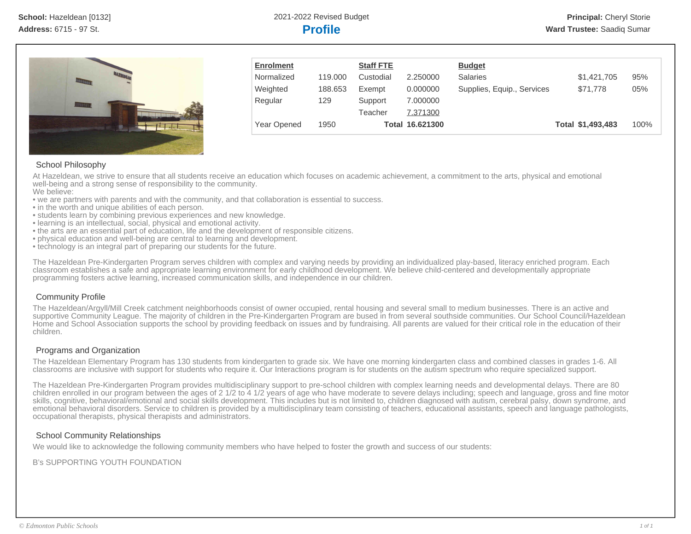

| <b>Enrolment</b>   |         | <b>Staff FTE</b> |                 | <b>Budget</b>              |                   |      |
|--------------------|---------|------------------|-----------------|----------------------------|-------------------|------|
| Normalized         | 119,000 | Custodial        | 2.250000        | <b>Salaries</b>            | \$1,421,705       | 95%  |
| Weighted           | 188.653 | Exempt           | 0.000000        | Supplies, Equip., Services | \$71,778          | 05%  |
| Regular            | 129     | Support          | 7.000000        |                            |                   |      |
|                    |         | Teacher          | 7.371300        |                            |                   |      |
| <b>Year Opened</b> | 1950    |                  | Total 16.621300 |                            | Total \$1,493,483 | 100% |

# School Philosophy

At Hazeldean, we strive to ensure that all students receive an education which focuses on academic achievement, a commitment to the arts, physical and emotional well-being and a strong sense of responsibility to the community.

We believe:

- we are partners with parents and with the community, and that collaboration is essential to success.
- in the worth and unique abilities of each person.
- students learn by combining previous experiences and new knowledge.
- learning is an intellectual, social, physical and emotional activity.
- the arts are an essential part of education, life and the development of responsible citizens.
- physical education and well-being are central to learning and development.
- technology is an integral part of preparing our students for the future.

The Hazeldean Pre-Kindergarten Program serves children with complex and varying needs by providing an individualized play-based, literacy enriched program. Each classroom establishes a safe and appropriate learning environment for early childhood development. We believe child-centered and developmentally appropriate programming fosters active learning, increased communication skills, and independence in our children.

# Community Profile

The Hazeldean/Argyll/Mill Creek catchment neighborhoods consist of owner occupied, rental housing and several small to medium businesses. There is an active and supportive Community League. The majority of children in the Pre-Kindergarten Program are bused in from several southside communities. Our School Council/Hazeldean Home and School Association supports the school by providing feedback on issues and by fundraising. All parents are valued for their critical role in the education of their children.

## Programs and Organization

The Hazeldean Elementary Program has 130 students from kindergarten to grade six. We have one morning kindergarten class and combined classes in grades 1-6. All classrooms are inclusive with support for students who require it. Our Interactions program is for students on the autism spectrum who require specialized support.

The Hazeldean Pre-Kindergarten Program provides multidisciplinary support to pre-school children with complex learning needs and developmental delays. There are 80 children enrolled in our program between the ages of 2 1/2 to 4 1/2 years of age who have moderate to severe delays including; speech and language, gross and fine motor skills, cognitive, behavioral/emotional and social skills development. This includes but is not limited to, children diagnosed with autism, cerebral palsy, down syndrome, and emotional behavioral disorders. Service to children is provided by a multidisciplinary team consisting of teachers, educational assistants, speech and language pathologists, occupational therapists, physical therapists and administrators.

## School Community Relationships

We would like to acknowledge the following community members who have helped to foster the growth and success of our students:

B's SUPPORTING YOUTH FOUNDATION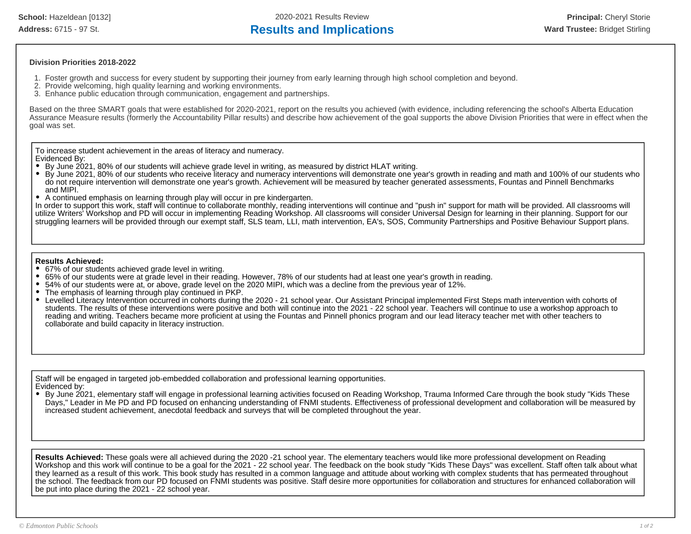**School:** Hazeldean [0132] 2020-2021 Results Review **Principal:** Cheryl Storie

# Address: 6715 - 97 St. **Results and Implications Results and Implications Ward Trustee:** Bridget Stirling

### **Division Priorities 2018-2022**

- 1. Foster growth and success for every student by supporting their journey from early learning through high school completion and beyond.
- 2. Provide welcoming, high quality learning and working environments.
- 3. Enhance public education through communication, engagement and partnerships.

Based on the three SMART goals that were established for 2020-2021, report on the results you achieved (with evidence, including referencing the school's Alberta Education Assurance Measure results (formerly the Accountability Pillar results) and describe how achievement of the goal supports the above Division Priorities that were in effect when the goal was set.

To increase student achievement in the areas of literacy and numeracy.

Evidenced By:

- By June 2021, 80% of our students will achieve grade level in writing, as measured by district HLAT writing.
- By June 2021, 80% of our students who receive literacy and numeracy interventions will demonstrate one year's growth in reading and math and 100% of our students who do not require intervention will demonstrate one year's growth. Achievement will be measured by teacher generated assessments, Fountas and Pinnell Benchmarks and MIPI.
- A continued emphasis on learning through play will occur in pre kindergarten.

In order to support this work, staff will continue to collaborate monthly, reading interventions will continue and "push in" support for math will be provided. All classrooms will utilize Writers' Workshop and PD will occur in implementing Reading Workshop. All classrooms will consider Universal Design for learning in their planning. Support for our struggling learners will be provided through our exempt staff, SLS team, LLI, math intervention, EA's, SOS, Community Partnerships and Positive Behaviour Support plans.

### **Results Achieved:**

- 67% of our students achieved grade level in writing.
- 65% of our students were at grade level in their reading. However, 78% of our students had at least one year's growth in reading.
- 54% of our students were at, or above, grade level on the 2020 MIPI, which was a decline from the previous year of 12%.
- The emphasis of learning through play continued in PKP.
- Levelled Literacy Intervention occurred in cohorts during the 2020 21 school year. Our Assistant Principal implemented First Steps math intervention with cohorts of students. The results of these interventions were positive and both will continue into the 2021 - 22 school year. Teachers will continue to use a workshop approach to reading and writing. Teachers became more proficient at using the Fountas and Pinnell phonics program and our lead literacy teacher met with other teachers to collaborate and build capacity in literacy instruction.

Staff will be engaged in targeted job-embedded collaboration and professional learning opportunities. Evidenced by:

By June 2021, elementary staff will engage in professional learning activities focused on Reading Workshop, Trauma Informed Care through the book study "Kids These Days," Leader in Me PD and PD focused on enhancing understanding of FNMI students. Effectiveness of professional development and collaboration will be measured by increased student achievement, anecdotal feedback and surveys that will be completed throughout the year.

**Results Achieved:** These goals were all achieved during the 2020 -21 school year. The elementary teachers would like more professional development on Reading Workshop and this work will continue to be a goal for the 2021 - 22 school year. The feedback on the book study "Kids These Days" was excellent. Staff often talk about what they learned as a result of this work. This book study has resulted in a common language and attitude about working with complex students that has permeated throughout the school. The feedback from our PD focused on FNMI students was positive. Staff desire more opportunities for collaboration and structures for enhanced collaboration will be put into place during the 2021 - 22 school year.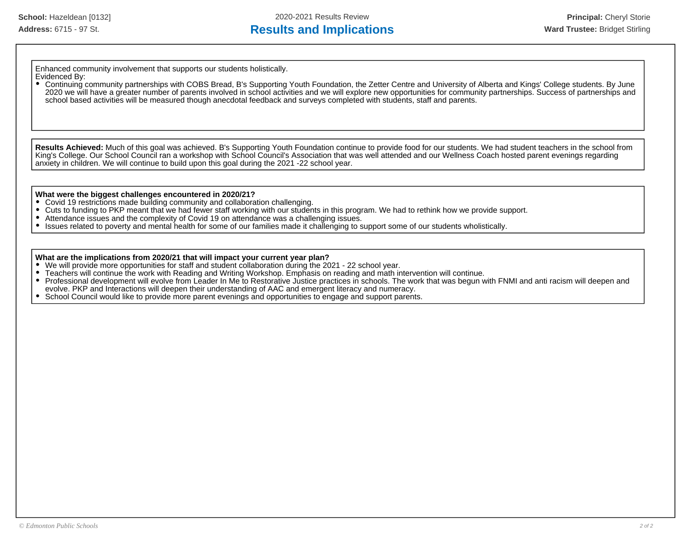# Address: 6715 - 97 St. **Results and Implications Results and Implications Ward Trustee:** Bridget Stirling

Enhanced community involvement that supports our students holistically.

#### Evidenced By: Continuing community partnerships with COBS Bread, B's Supporting Youth Foundation, the Zetter Centre and University of Alberta and Kings' College students. By June 2020 we will have a greater number of parents involved in school activities and we will explore new opportunities for community partnerships. Success of partnerships and school based activities will be measured though anecdotal feedback and surveys completed with students, staff and parents.

**Results Achieved:** Much of this goal was achieved. B's Supporting Youth Foundation continue to provide food for our students. We had student teachers in the school from King's College. Our School Council ran a workshop with School Council's Association that was well attended and our Wellness Coach hosted parent evenings regarding anxiety in children. We will continue to build upon this goal during the 2021 -22 school year.

### **What were the biggest challenges encountered in 2020/21?**

- Covid 19 restrictions made building community and collaboration challenging.
- $\bullet$ Cuts to funding to PKP meant that we had fewer staff working with our students in this program. We had to rethink how we provide support.
- $\bullet$ Attendance issues and the complexity of Covid 19 on attendance was a challenging issues.
- Issues related to poverty and mental health for some of our families made it challenging to support some of our students wholistically.  $\bullet$

### **What are the implications from 2020/21 that will impact your current year plan?**

- We will provide more opportunities for staff and student collaboration during the 2021 22 school year.
- Teachers will continue the work with Reading and Writing Workshop. Emphasis on reading and math intervention will continue.
- Professional development will evolve from Leader In Me to Restorative Justice practices in schools. The work that was begun with FNMI and anti racism will deepen and  $\bullet$ evolve. PKP and Interactions will deepen their understanding of AAC and emergent literacy and numeracy.
- School Council would like to provide more parent evenings and opportunities to engage and support parents.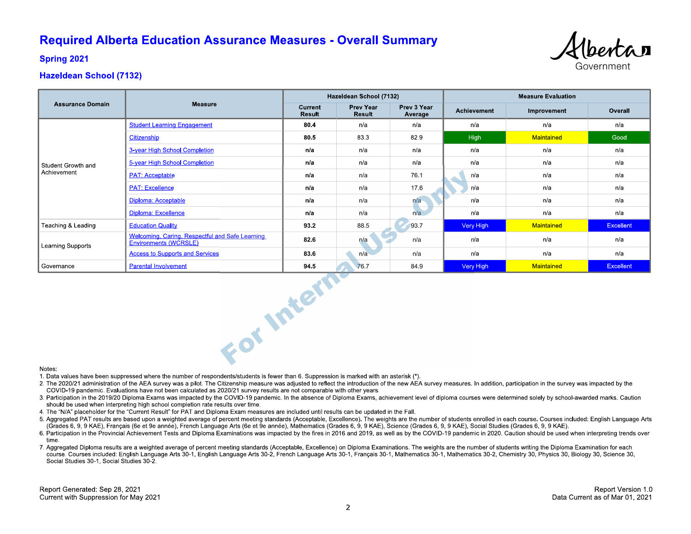# **Required Alberta Education Assurance Measures - Overall Summary**



**Spring 2021** 

# **Hazeldean School (7132)**

| <b>Assurance Domain</b> |                                                                          | Hazeldean School (7132)  |                            |                        | <b>Measure Evaluation</b> |             |                  |  |  |
|-------------------------|--------------------------------------------------------------------------|--------------------------|----------------------------|------------------------|---------------------------|-------------|------------------|--|--|
|                         | <b>Measure</b>                                                           | Current<br><b>Result</b> | <b>Prev Year</b><br>Result | Prev 3 Year<br>Average | <b>Achievement</b>        | Improvement | Overall          |  |  |
| Student Growth and      | <b>Student Learning Engagement</b>                                       | 80.4                     | n/a                        | n/a                    | n/a                       | n/a         | n/a              |  |  |
|                         | Citizenship                                                              | 80.5                     | 83.3                       | 82.9                   | <b>High</b>               | Maintained  | Good             |  |  |
|                         | 3-year High School Completion                                            | n/a                      | n/a                        | n/a                    | n/a                       | n/a         | n/a              |  |  |
|                         | 5-year High School Completion                                            | n/a                      | n/a                        | n/a                    | n/a                       | n/a         | n/a              |  |  |
| Achievement             | <b>PAT: Acceptable</b>                                                   | n/a                      | n/a                        | 76.1                   | n/a                       | n/a         | n/a              |  |  |
|                         | <b>PAT: Excellence</b>                                                   | n/a                      | n/a                        | 17.6                   | n/a                       | n/a         | n/a              |  |  |
|                         | Diploma: Acceptable                                                      | n/a                      | n/a                        | n/a                    | n/a                       | n/a         | n/a              |  |  |
|                         | <b>Diploma: Excellence</b>                                               | n/a                      | n/a                        | n/a                    | n/a                       | n/a         | n/a              |  |  |
| Teaching & Leading      | <b>Education Quality</b>                                                 | 93.2                     | 88.5                       | 93.7                   | Very High                 | Maintained  | <b>Excellent</b> |  |  |
| Learning Supports       | Welcoming, Caring, Respectful and Safe Learning<br>Environments (WCRSLE) | 82.6                     | n/a                        | n/a                    | n/a                       | n/a         | n/a              |  |  |
|                         | <b>Access to Supports and Services</b>                                   | 83.6                     | n/a                        | n/a                    | n/a                       | n/a         | n/a              |  |  |
| Governance              | <b>Parental Involvement</b>                                              | 94.5                     | 76.7                       | 84.9                   | <b>Very High</b>          | Maintained  | <b>Excellent</b> |  |  |
| For Intern<br>Notes:    |                                                                          |                          |                            |                        |                           |             |                  |  |  |

#### Notes:

1. Data values have been suppressed where the number of respondents/students is fewer than 6. Suppression is marked with an asterisk (\*).

- 2. The 2020/21 administration of the AEA survey was a pilot. The Citizenship measure was adjusted to reflect the introduction of the new AEA survey measures. In addition, participation in the survey was impacted by the COVID-19 pandemic. Evaluations have not been calculated as 2020/21 survey results are not comparable with other years.
- 3. Participation in the 2019/20 Diploma Exams was impacted by the COVID-19 pandemic. In the absence of Diploma Exams, achievement level of diploma courses were determined solely by school-awarded marks. Caution should be used when interpreting high school completion rate results over time.
- 4. The "N/A" placeholder for the "Current Result" for PAT and Diploma Exam measures are included until results can be updated in the Fall.
- 5. Aggregated PAT results are based upon a weighted average of percent meeting standards (Acceptable, Excellence). The weights are the number of students enrolled in each course. Courses included: English Language Arts (Grades 6, 9, 9 KAE), Français (6e et 9e année), French Language Arts (6e et 9e année), Mathematics (Grades 6, 9, 9 KAE), Science (Grades 6, 9, 9 KAE), Social Studies (Grades 6, 9, 9 KAE).
- 6. Participation in the Provincial Achievement Tests and Diploma Examinations was impacted by the fires in 2016 and 2019, as well as by the COVID-19 pandemic in 2020. Caution should be used when interpreting trends over time
- 7. Aggregated Diploma results are a weighted average of percent meeting standards (Acceptable, Excellence) on Diploma Examinations. The weights are the number of students writing the Diploma Examination for each course. Courses included: English Language Arts 30-1, English Language Arts 30-2, French Language Arts 30-1, Français 30-1, Mathematics 30-1, Mathematics 30-2, Chemistry 30, Physics 30, Biology 30, Science 30, Social Studies 30-1, Social Studies 30-2.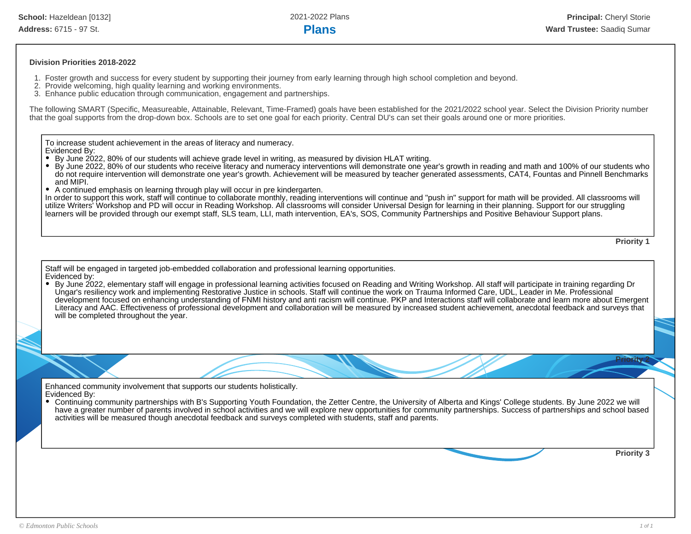### **Division Priorities 2018-2022**

- 1. Foster growth and success for every student by supporting their journey from early learning through high school completion and beyond.
- 2. Provide welcoming, high quality learning and working environments.
- 3. Enhance public education through communication, engagement and partnerships.

The following SMART (Specific, Measureable, Attainable, Relevant, Time-Framed) goals have been established for the 2021/2022 school year. Select the Division Priority number that the goal supports from the drop-down box. Schools are to set one goal for each priority. Central DU's can set their goals around one or more priorities.

To increase student achievement in the areas of literacy and numeracy. Evidenced By:

- By June 2022, 80% of our students will achieve grade level in writing, as measured by division HLAT writing.
- By June 2022, 80% of our students who receive literacy and numeracy interventions will demonstrate one year's growth in reading and math and 100% of our students who do not require intervention will demonstrate one year's growth. Achievement will be measured by teacher generated assessments, CAT4, Fountas and Pinnell Benchmarks and MIPI.
- A continued emphasis on learning through play will occur in pre kindergarten.

In order to support this work, staff will continue to collaborate monthly, reading interventions will continue and "push in" support for math will be provided. All classrooms will utilize Writers' Workshop and PD will occur in Reading Workshop. All classrooms will consider Universal Design for learning in their planning. Support for our struggling learners will be provided through our exempt staff, SLS team, LLI, math intervention, EA's, SOS, Community Partnerships and Positive Behaviour Support plans.

**Priority 1**

Staff will be engaged in targeted job-embedded collaboration and professional learning opportunities. Evidenced by:

By June 2022, elementary staff will engage in professional learning activities focused on Reading and Writing Workshop. All staff will participate in training regarding Dr ٠ Ungar's resiliency work and implementing Restorative Justice in schools. Staff will continue the work on Trauma Informed Care, UDL, Leader in Me. Professional development focused on enhancing understanding of FNMI history and anti racism will continue. PKP and Interactions staff will collaborate and learn more about Emergent Literacy and AAC. Effectiveness of professional development and collaboration will be measured by increased student achievement, anecdotal feedback and surveys that will be completed throughout the year.

Enhanced community involvement that supports our students holistically. Evidenced By:

Continuing community partnerships with B's Supporting Youth Foundation, the Zetter Centre, the University of Alberta and Kings' College students. By June 2022 we will have a greater number of parents involved in school activities and we will explore new opportunities for community partnerships. Success of partnerships and school based activities will be measured though anecdotal feedback and surveys completed with students, staff and parents.

**Priority 3**

**Priority 2**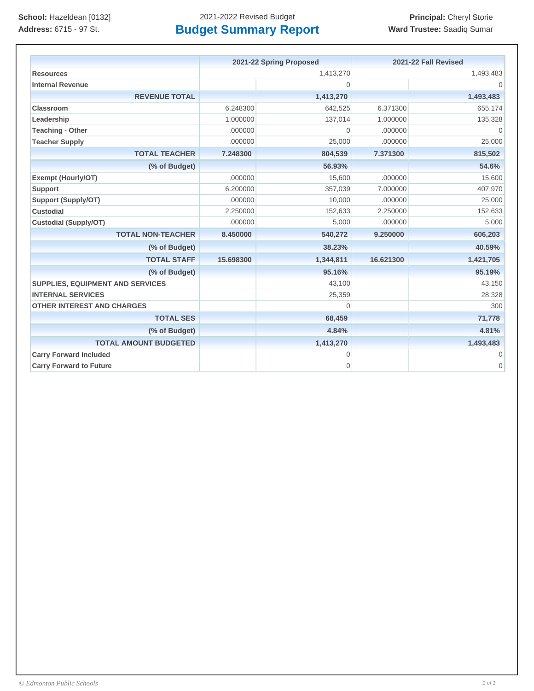|                                         | 2021-22 Spring Proposed |                | 2021-22 Fall Revised |                |
|-----------------------------------------|-------------------------|----------------|----------------------|----------------|
| <b>Resources</b>                        | 1,413,270               |                | 1,493,483            |                |
| <b>Internal Revenue</b>                 |                         | $\Omega$       |                      |                |
| <b>REVENUE TOTAL</b>                    |                         | 1,413,270      |                      | 1,493,483      |
| <b>Classroom</b>                        | 6.248300                | 642,525        | 6.371300             | 655,174        |
| Leadership                              | 1.000000                | 137,014        | 1.000000             | 135,328        |
| <b>Teaching - Other</b>                 | .000000                 | $\overline{0}$ | .000000              | $\mathbf{0}$   |
| <b>Teacher Supply</b>                   | .000000                 | 25,000         | .000000              | 25,000         |
| <b>TOTAL TEACHER</b>                    | 7.248300                | 804,539        | 7.371300             | 815,502        |
| (% of Budget)                           |                         | 56.93%         |                      | 54.6%          |
| <b>Exempt (Hourly/OT)</b>               | .000000                 | 15,600         | .000000              | 15,600         |
| <b>Support</b>                          | 6.200000                | 357,039        | 7.000000             | 407,970        |
| <b>Support (Supply/OT)</b>              | .000000                 | 10,000         | .000000              | 25,000         |
| <b>Custodial</b>                        | 2.250000                | 152,633        | 2.250000             | 152,633        |
| <b>Custodial (Supply/OT)</b>            | .000000                 | 5,000          | .000000              | 5,000          |
| <b>TOTAL NON-TEACHER</b>                | 8.450000                | 540,272        | 9.250000             | 606,203        |
| (% of Budget)                           |                         | 38.23%         |                      | 40.59%         |
| <b>TOTAL STAFF</b>                      | 15.698300               | 1,344,811      | 16.621300            | 1,421,705      |
| (% of Budget)                           |                         | 95.16%         |                      | 95.19%         |
| <b>SUPPLIES, EQUIPMENT AND SERVICES</b> |                         | 43,100         |                      | 43,150         |
| <b>INTERNAL SERVICES</b>                |                         | 25,359         |                      | 28,328         |
| <b>OTHER INTEREST AND CHARGES</b>       |                         | $\Omega$       |                      | 300            |
| <b>TOTAL SES</b>                        |                         | 68,459         |                      | 71,778         |
| (% of Budget)                           |                         | 4.84%          |                      | 4.81%          |
| <b>TOTAL AMOUNT BUDGETED</b>            |                         | 1,413,270      |                      | 1,493,483      |
| <b>Carry Forward Included</b>           |                         | $\mathbf 0$    |                      | $\overline{0}$ |
| <b>Carry Forward to Future</b>          |                         | $\overline{0}$ |                      | 0              |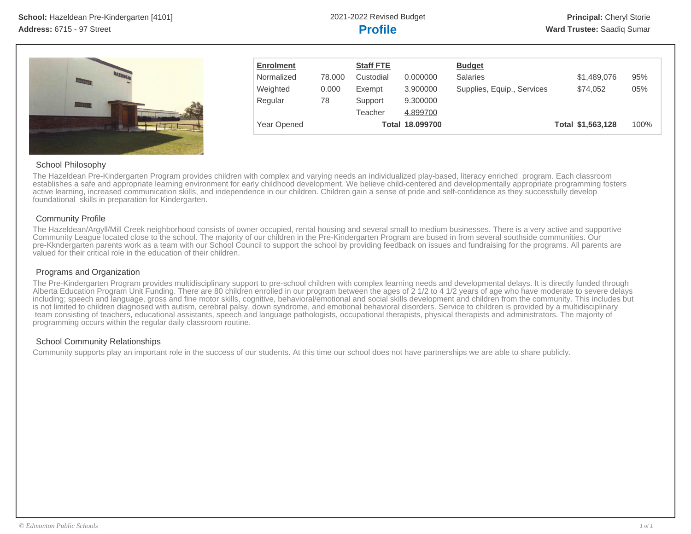

| <b>Enrolment</b> |        | <b>Staff FTE</b> |                 | <b>Budget</b>              |                   |      |
|------------------|--------|------------------|-----------------|----------------------------|-------------------|------|
| Normalized       | 78.000 | Custodial        | 0.000000        | Salaries                   | \$1,489,076       | 95%  |
| Weighted         | 0.000  | Exempt           | 3.900000        | Supplies, Equip., Services | \$74.052          | 05%  |
| Regular          | 78     | Support          | 9.300000        |                            |                   |      |
|                  |        | Teacher          | 4.899700        |                            |                   |      |
| Year Opened      |        |                  | Total 18.099700 |                            | Total \$1,563,128 | 100% |

# School Philosophy

The Hazeldean Pre-Kindergarten Program provides children with complex and varying needs an individualized play-based, literacy enriched program. Each classroom establishes a safe and appropriate learning environment for early childhood development. We believe child-centered and developmentally appropriate programming fosters active learning, increased communication skills, and independence in our children. Children gain a sense of pride and self-confidence as they successfully develop foundational skills in preparation for Kindergarten.

## Community Profile

The Hazeldean/Argyll/Mill Creek neighborhood consists of owner occupied, rental housing and several small to medium businesses. There is a very active and supportive Community League located close to the school. The majority of our children in the Pre-Kindergarten Program are bused in from several southside communities. Our pre-Kkndergarten parents work as a team with our School Council to support the school by providing feedback on issues and fundraising for the programs. All parents are valued for their critical role in the education of their children.

## Programs and Organization

The Pre-Kindergarten Program provides multidisciplinary support to pre-school children with complex learning needs and developmental delays. It is directly funded through Alberta Education Program Unit Funding. There are 80 children enrolled in our program between the ages of 2 1/2 to 4 1/2 years of age who have moderate to severe delays including; speech and language, gross and fine motor skills, cognitive, behavioral/emotional and social skills development and children from the community. This includes but is not limited to children diagnosed with autism, cerebral palsy, down syndrome, and emotional behavioral disorders. Service to children is provided by a multidisciplinary team consisting of teachers, educational assistants, speech and language pathologists, occupational therapists, physical therapists and administrators. The majority of programming occurs within the regular daily classroom routine.

# School Community Relationships

Community supports play an important role in the success of our students. At this time our school does not have partnerships we are able to share publicly.